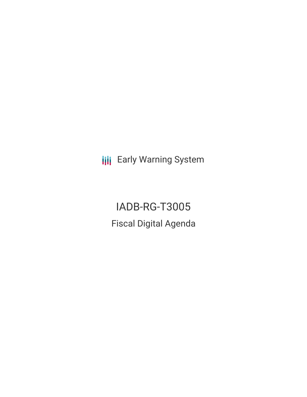**III** Early Warning System

IADB-RG-T3005 Fiscal Digital Agenda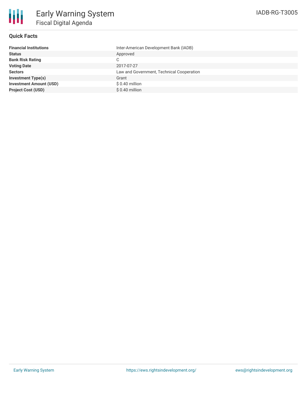

## **Quick Facts**

| <b>Financial Institutions</b>  | Inter-American Development Bank (IADB)    |
|--------------------------------|-------------------------------------------|
| <b>Status</b>                  | Approved                                  |
| <b>Bank Risk Rating</b>        | С                                         |
| <b>Voting Date</b>             | 2017-07-27                                |
| <b>Sectors</b>                 | Law and Government, Technical Cooperation |
| <b>Investment Type(s)</b>      | Grant                                     |
| <b>Investment Amount (USD)</b> | $$0.40$ million                           |
| <b>Project Cost (USD)</b>      | $$0.40$ million                           |
|                                |                                           |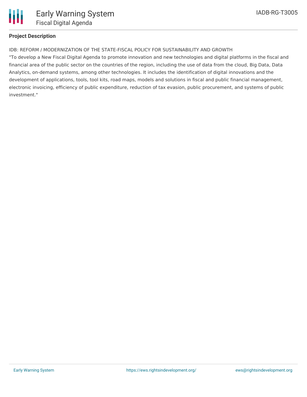

## **Project Description**

IDB: REFORM / MODERNIZATION OF THE STATE-FISCAL POLICY FOR SUSTAINABILITY AND GROWTH

"To develop a New Fiscal Digital Agenda to promote innovation and new technologies and digital platforms in the fiscal and financial area of the public sector on the countries of the region, including the use of data from the cloud, Big Data, Data Analytics, on-demand systems, among other technologies. It includes the identification of digital innovations and the development of applications, tools, tool kits, road maps, models and solutions in fiscal and public financial management, electronic invoicing, efficiency of public expenditure, reduction of tax evasion, public procurement, and systems of public investment."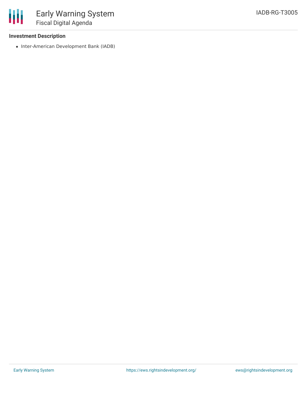## **Investment Description**

• Inter-American Development Bank (IADB)